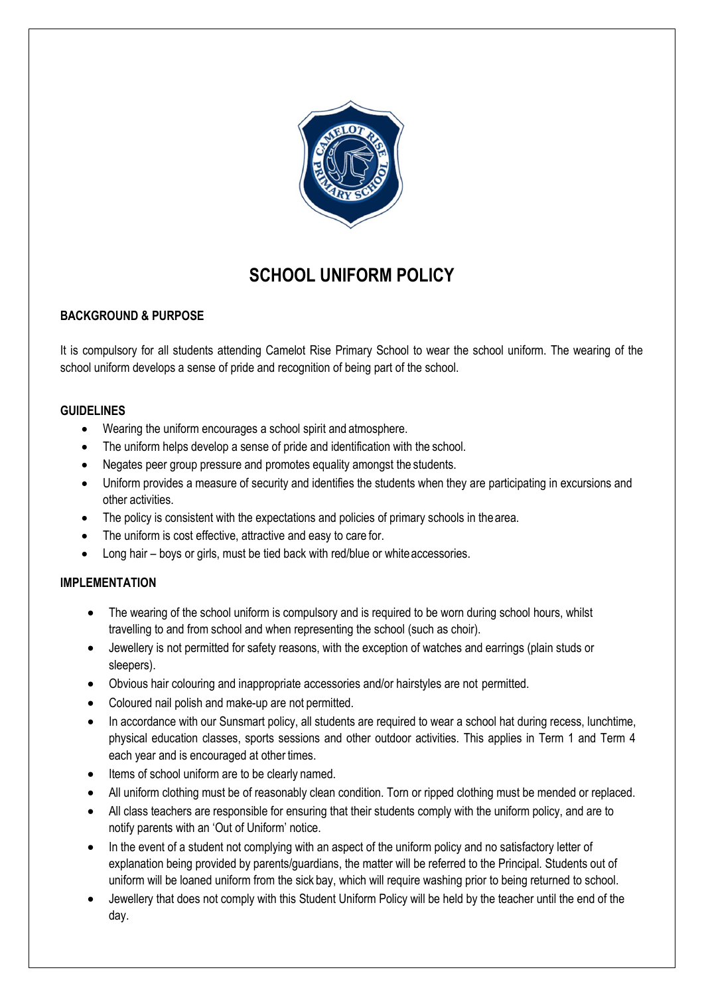

# **SCHOOL UNIFORM POLICY**

# **BACKGROUND & PURPOSE**

It is compulsory for all students attending Camelot Rise Primary School to wear the school uniform. The wearing of the school uniform develops a sense of pride and recognition of being part of the school.

### **GUIDELINES**

- Wearing the uniform encourages a school spirit and atmosphere.
- The uniform helps develop a sense of pride and identification with the school.
- Negates peer group pressure and promotes equality amongst the students.
- Uniform provides a measure of security and identifies the students when they are participating in excursions and other activities.
- The policy is consistent with the expectations and policies of primary schools in thearea.
- The uniform is cost effective, attractive and easy to care for.
- Long hair boys or girls, must be tied back with red/blue or white accessories.

## **IMPLEMENTATION**

- The wearing of the school uniform is compulsory and is required to be worn during school hours, whilst travelling to and from school and when representing the school (such as choir).
- Jewellery is not permitted for safety reasons, with the exception of watches and earrings (plain studs or sleepers).
- Obvious hair colouring and inappropriate accessories and/or hairstyles are not permitted.
- Coloured nail polish and make-up are not permitted.
- In accordance with our Sunsmart policy, all students are required to wear a school hat during recess, lunchtime, physical education classes, sports sessions and other outdoor activities. This applies in Term 1 and Term 4 each year and is encouraged at other times.
- Items of school uniform are to be clearly named.
- All uniform clothing must be of reasonably clean condition. Torn or ripped clothing must be mended or replaced.
- All class teachers are responsible for ensuring that their students comply with the uniform policy, and are to notify parents with an 'Out of Uniform' notice.
- In the event of a student not complying with an aspect of the uniform policy and no satisfactory letter of explanation being provided by parents/guardians, the matter will be referred to the Principal. Students out of uniform will be loaned uniform from the sick bay, which will require washing prior to being returned to school.
- Jewellery that does not comply with this Student Uniform Policy will be held by the teacher until the end of the day.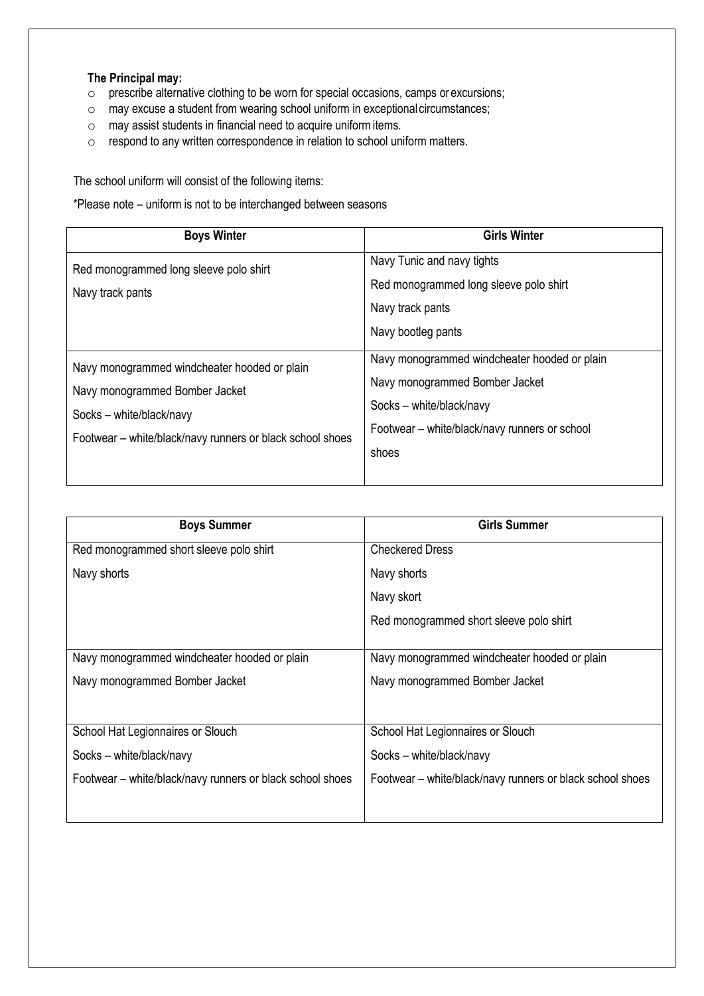#### **The Principal may:**

- o prescribe alternative clothing to be worn for special occasions, camps or excursions;
- o may excuse a student from wearing school uniform in exceptional circumstances;
- o may assist students in financial need to acquire uniformitems.
- o respond to any written correspondence in relation to school uniform matters.

The school uniform will consist of the following items:

\*Please note – uniform is not to be interchanged between seasons

| <b>Boys Winter</b>                                                                                                                                                      | <b>Girls Winter</b>                                                                                                                                                  |
|-------------------------------------------------------------------------------------------------------------------------------------------------------------------------|----------------------------------------------------------------------------------------------------------------------------------------------------------------------|
| Red monogrammed long sleeve polo shirt<br>Navy track pants                                                                                                              | Navy Tunic and navy tights<br>Red monogrammed long sleeve polo shirt<br>Navy track pants<br>Navy bootleg pants                                                       |
| Navy monogrammed windcheater hooded or plain<br>Navy monogrammed Bomber Jacket<br>Socks - white/black/navy<br>Footwear – white/black/navy runners or black school shoes | Navy monogrammed windcheater hooded or plain<br>Navy monogrammed Bomber Jacket<br>Socks - white/black/navy<br>Footwear - white/black/navy runners or school<br>shoes |

| <b>Boys Summer</b>                                        | <b>Girls Summer</b>                                       |  |  |
|-----------------------------------------------------------|-----------------------------------------------------------|--|--|
| Red monogrammed short sleeve polo shirt                   | <b>Checkered Dress</b>                                    |  |  |
| Navy shorts                                               | Navy shorts                                               |  |  |
|                                                           | Navy skort                                                |  |  |
|                                                           | Red monogrammed short sleeve polo shirt                   |  |  |
|                                                           |                                                           |  |  |
| Navy monogrammed windcheater hooded or plain              | Navy monogrammed windcheater hooded or plain              |  |  |
| Navy monogrammed Bomber Jacket                            | Navy monogrammed Bomber Jacket                            |  |  |
|                                                           |                                                           |  |  |
| School Hat Legionnaires or Slouch                         | School Hat Legionnaires or Slouch                         |  |  |
| Socks - white/black/navy                                  | Socks – white/black/navy                                  |  |  |
| Footwear – white/black/navy runners or black school shoes | Footwear – white/black/navy runners or black school shoes |  |  |
|                                                           |                                                           |  |  |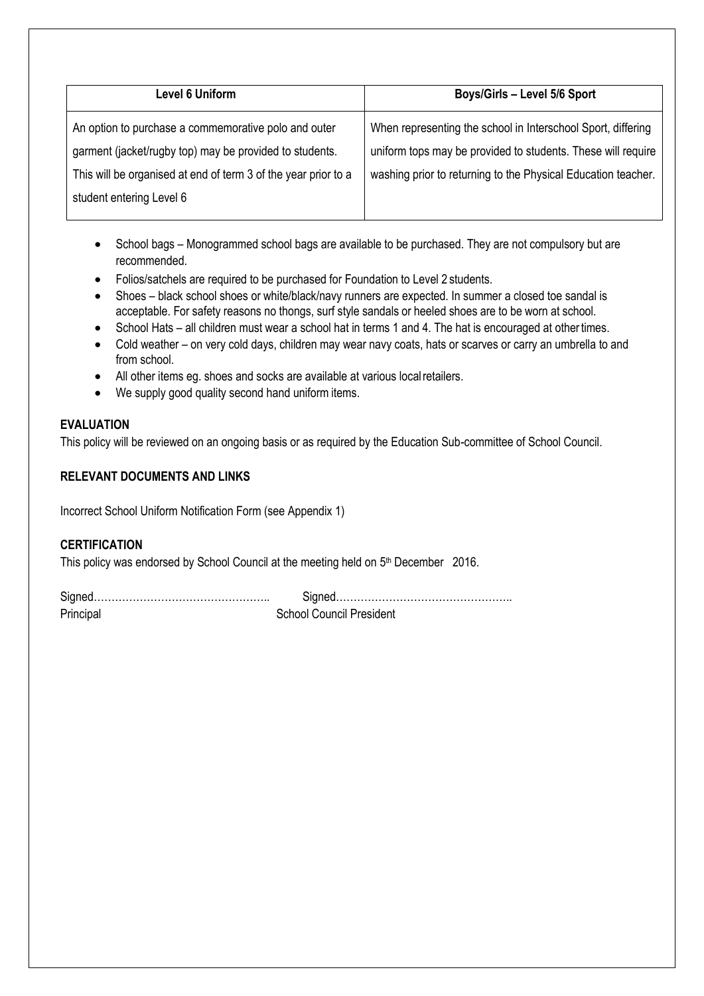| Level 6 Uniform                                                | Boys/Girls - Level 5/6 Sport                                  |
|----------------------------------------------------------------|---------------------------------------------------------------|
| An option to purchase a commemorative polo and outer           | When representing the school in Interschool Sport, differing  |
| garment (jacket/rugby top) may be provided to students.        | uniform tops may be provided to students. These will require  |
| This will be organised at end of term 3 of the year prior to a | washing prior to returning to the Physical Education teacher. |
| student entering Level 6                                       |                                                               |

- School bags Monogrammed school bags are available to be purchased. They are not compulsory but are recommended.
- Folios/satchels are required to be purchased for Foundation to Level 2 students.
- Shoes black school shoes or white/black/navy runners are expected. In summer a closed toe sandal is acceptable. For safety reasons no thongs, surf style sandals or heeled shoes are to be worn at school.
- School Hats all children must wear a school hat in terms 1 and 4. The hat is encouraged at othertimes.
- Cold weather on very cold days, children may wear navy coats, hats or scarves or carry an umbrella to and from school.
- All other items eg. shoes and socks are available at various localretailers.
- We supply good quality second hand uniform items.

## **EVALUATION**

This policy will be reviewed on an ongoing basis or as required by the Education Sub-committee of School Council.

### **RELEVANT DOCUMENTS AND LINKS**

Incorrect School Uniform Notification Form (see Appendix 1)

### **CERTIFICATION**

This policy was endorsed by School Council at the meeting held on 5<sup>th</sup> December 2016.

| Principal | <b>School Council President</b> |
|-----------|---------------------------------|